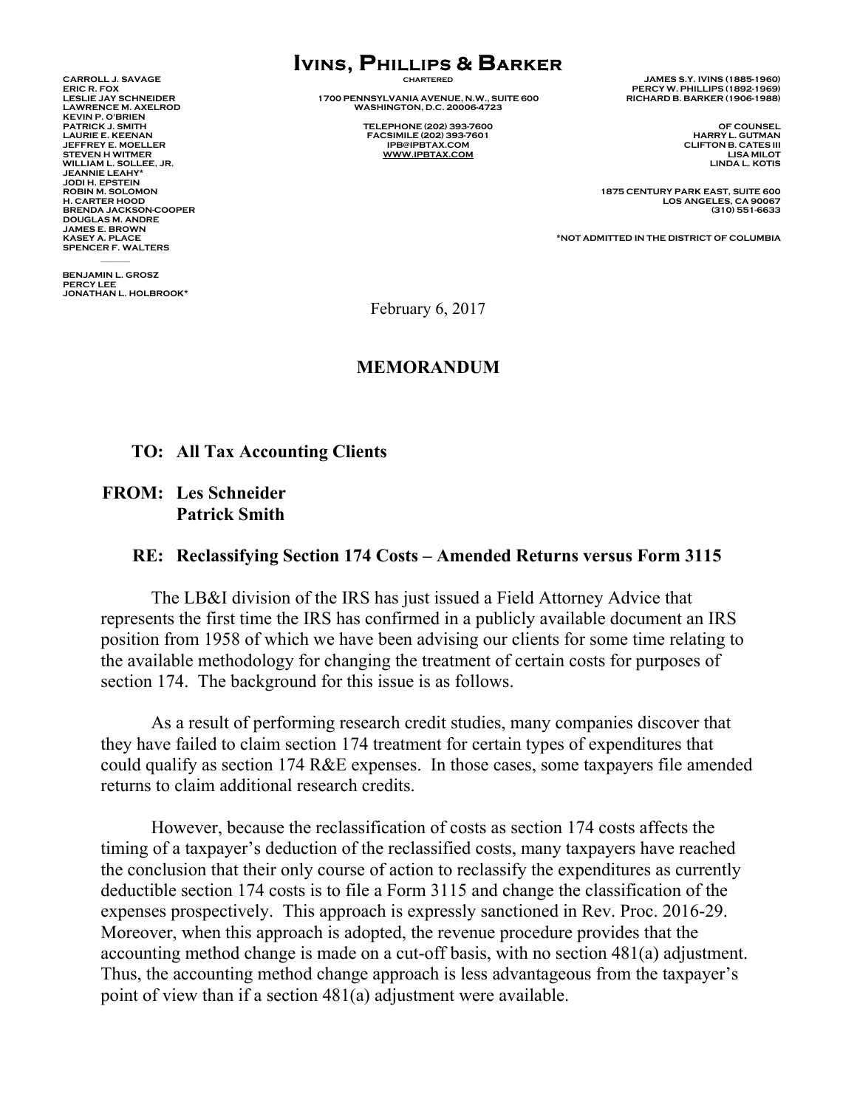**KEVIN P. O'BRIEN PATRICK J. SMITH TELEPHONE (202) 393-7600 OF COUNSEL JEFFREY E. MOELLER IPB@IPBTAX.COM CLIFTON B. CATES III WILLIAM L. SOLLEE, JR. JEANNIE LEAHY\* JODI H. EPSTEIN DOUGLAS M. ANDRE JAMES E. BROWN SPENCER F. WALTERS** 

**BENJAMIN L. GROSZ PERCY LEE JONATHAN L. HOLBROOK\*** 

 $\mathcal{L}$ 

# **IVINS, PHILLIPS & BARKER**

**LESLIE JAY SCHNEIDER 1700 PENNSYLVANIA AVENUE, N.W., SUITE 600 RICHARD B. BARKER (1906-1988) LAWRENCE M. AXELROD WASHINGTON, D.C. 20006-4723** 

> **LAURIE EXAMPLE EXAMPLE EXAMPLE 202)** 393-7601 HARRY L. GUTMAN **IPB@IPBTAX.COM HARRY** L. **GUTMAN WWW.IPBTAX.COM**

**CARROLL J. SAVAGE CHARTERED JAMES S.Y. IVINS (1885-1960) ERIC R. FOX PERCY W. PHILLIPS (1892-1969)** 

**ROBIN M. SOLOMON 1875 CENTURY PARK EAST, SUITE 600 H. CARTER HOOD LOS ANGELES, CA 90067 BRENDA JACKSON-COOPER (310) 551-6633** 

**KASEY A. PLACE \*NOT ADMITTED IN THE DISTRICT OF COLUMBIA** 

February 6, 2017

#### **MEMORANDUM**

#### **TO: All Tax Accounting Clients**

 **FROM: Les Schneider Patrick Smith** 

#### **RE: Reclassifying Section 174 Costs – Amended Returns versus Form 3115**

The LB&I division of the IRS has just issued a Field Attorney Advice that represents the first time the IRS has confirmed in a publicly available document an IRS position from 1958 of which we have been advising our clients for some time relating to the available methodology for changing the treatment of certain costs for purposes of section 174. The background for this issue is as follows.

As a result of performing research credit studies, many companies discover that they have failed to claim section 174 treatment for certain types of expenditures that could qualify as section 174 R&E expenses. In those cases, some taxpayers file amended returns to claim additional research credits.

 However, because the reclassification of costs as section 174 costs affects the timing of a taxpayer's deduction of the reclassified costs, many taxpayers have reached the conclusion that their only course of action to reclassify the expenditures as currently deductible section 174 costs is to file a Form 3115 and change the classification of the expenses prospectively. This approach is expressly sanctioned in Rev. Proc. 2016-29. Moreover, when this approach is adopted, the revenue procedure provides that the accounting method change is made on a cut-off basis, with no section 481(a) adjustment. Thus, the accounting method change approach is less advantageous from the taxpayer's point of view than if a section 481(a) adjustment were available.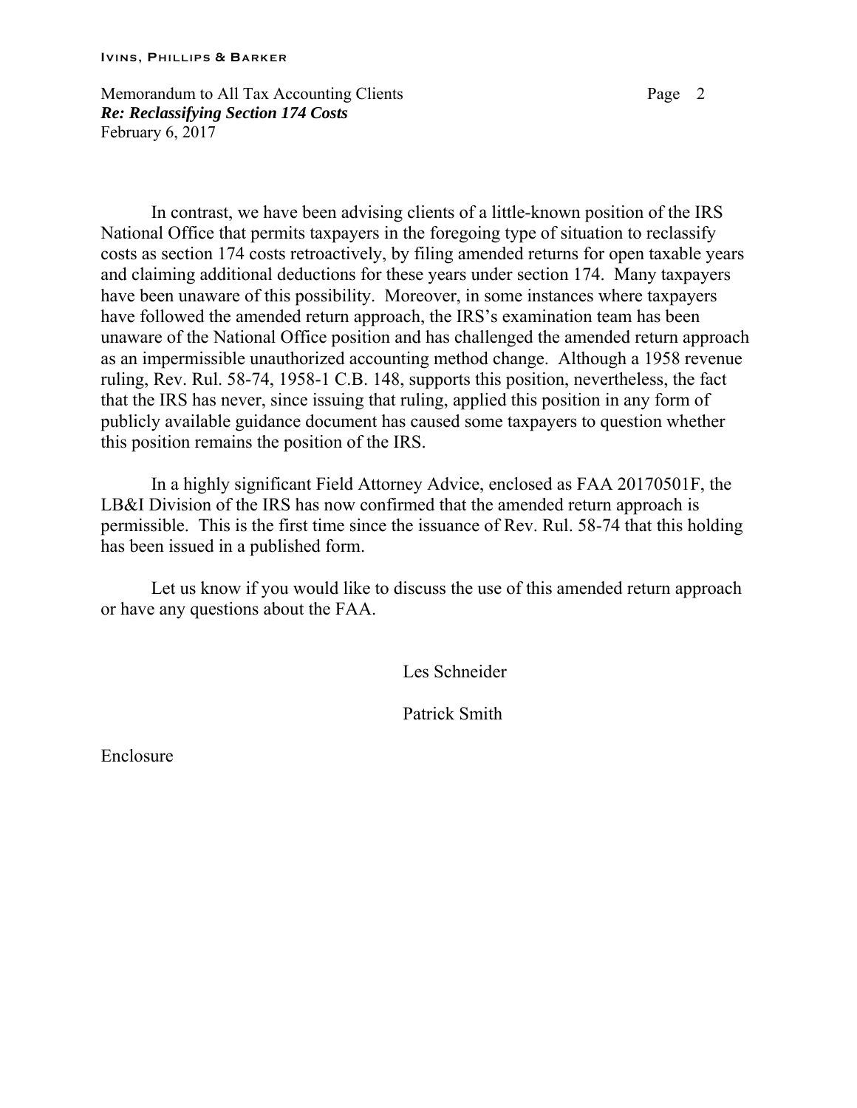#### **IVINS, P HILLIPS & B ARKER**

Memorandum to All Tax Accounting Clients **Page 2** Page 2 *Re: Reclassifying Section 174 Costs*  February 6, 2017

 In contrast, we have been advising clients of a little-known position of the IRS National Office that permits taxpayers in the foregoing type of situation to reclassify costs as section 174 costs retroactively, by filing amended returns for open taxable years and claiming additional deductions for these years under section 174. Many taxpayers have been unaware of this possibility. Moreover, in some instances where taxpayers have followed the amended return approach, the IRS's examination team has been unaware of the National Office position and has challenged the amended return approach as an impermissible unauthorized accounting method change. Although a 1958 revenue ruling, Rev. Rul. 58-74, 1958-1 C.B. 148, supports this position, nevertheless, the fact that the IRS has never, since issuing that ruling, applied this position in any form of publicly available guidance document has caused some taxpayers to question whether this position remains the position of the IRS.

In a highly significant Field Attorney Advice, enclosed as FAA 20170501F, the LB&I Division of the IRS has now confirmed that the amended return approach is permissible. This is the first time since the issuance of Rev. Rul. 58-74 that this holding has been issued in a published form.

 Let us know if you would like to discuss the use of this amended return approach or have any questions about the FAA.

Les Schneider

Patrick Smith

Enclosure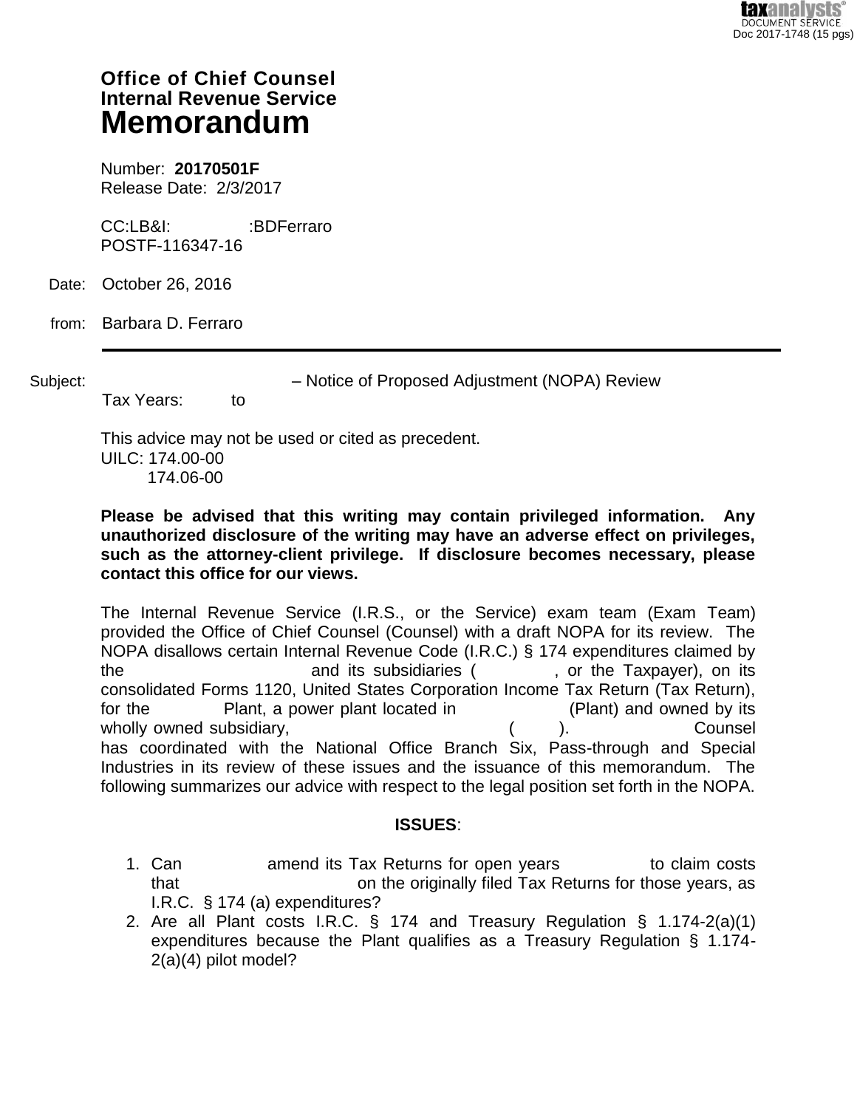# **Office of Chief Counsel Internal Revenue Service Memorandum**

Number: **20170501F** Release Date: 2/3/2017

CC:LB&I: :BDFerraro POSTF-116347-16

Date: October 26, 2016

from: Barbara D. Ferraro

Subject:  $-$  Notice of Proposed Adjustment (NOPA) Review

This advice may not be used or cited as precedent. UILC: 174.00-00

174.06-00

Tax Years: to

**Please be advised that this writing may contain privileged information. Any unauthorized disclosure of the writing may have an adverse effect on privileges, such as the attorney-client privilege. If disclosure becomes necessary, please contact this office for our views.**

The Internal Revenue Service (I.R.S., or the Service) exam team (Exam Team) provided the Office of Chief Counsel (Counsel) with a draft NOPA for its review. The NOPA disallows certain Internal Revenue Code (I.R.C.) § 174 expenditures claimed by the and its subsidiaries (except the Taxpayer), on its consolidated Forms 1120, United States Corporation Income Tax Return (Tax Return), for the ----------- Plant, a power plant located in ------------------ (Plant) and owned by its wholly owned subsidiary,  $($ ).  $)$  Counsel has coordinated with the National Office Branch Six, Pass-through and Special Industries in its review of these issues and the issuance of this memorandum. The following summarizes our advice with respect to the legal position set forth in the NOPA.

## **ISSUES**:

- 1. Can ------------- amend its Tax Returns for open years ---------------to claim costs that that the strip on the originally filed Tax Returns for those years, as I.R.C. § 174 (a) expenditures?
- 2. Are all Plant costs I.R.C. § 174 and Treasury Regulation § 1.174-2(a)(1) expenditures because the Plant qualifies as a Treasury Regulation § 1.174- 2(a)(4) pilot model?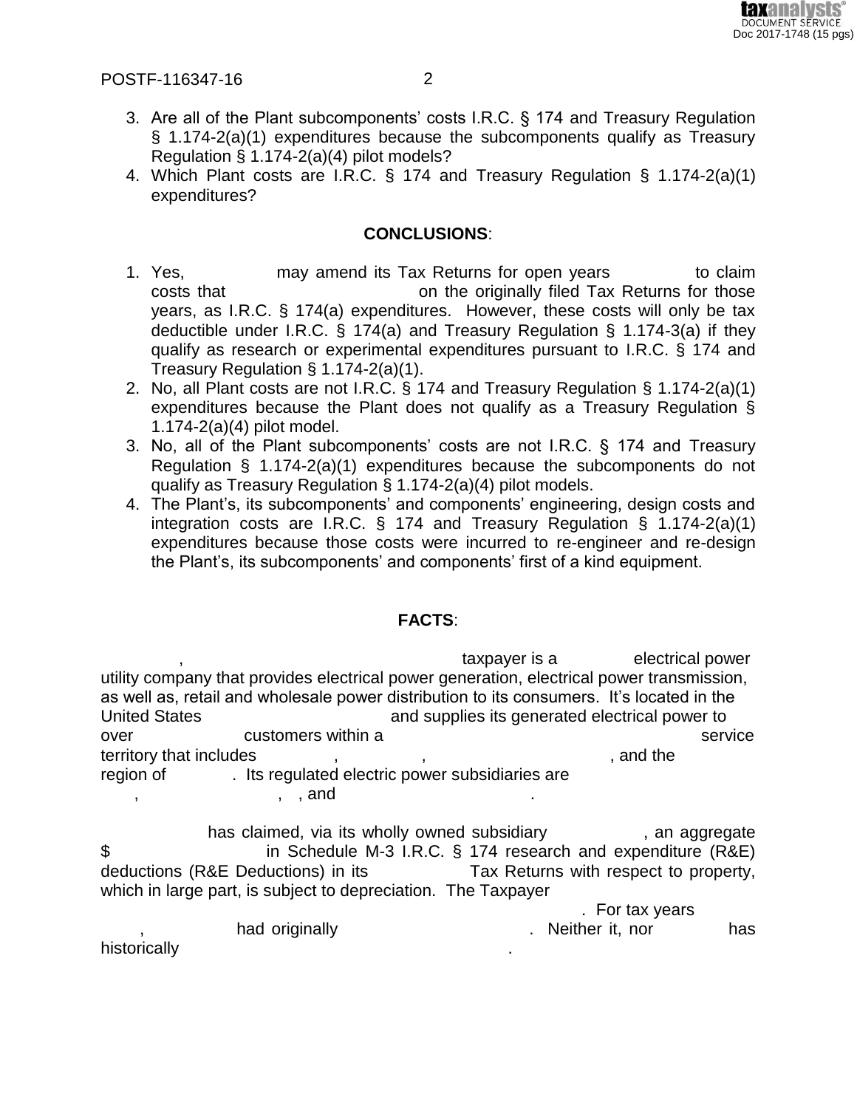

- 3. Are all of the Plant subcomponents' costs I.R.C. § 174 and Treasury Regulation § 1.174-2(a)(1) expenditures because the subcomponents qualify as Treasury Regulation § 1.174-2(a)(4) pilot models?
- 4. Which Plant costs are I.R.C. § 174 and Treasury Regulation § 1.174-2(a)(1) expenditures?

#### **CONCLUSIONS**:

- 1. Yes, The may amend its Tax Returns for open years in to claim costs that -------------------------------- on the originally filed Tax Returns for those years, as I.R.C. § 174(a) expenditures. However, these costs will only be tax deductible under I.R.C. § 174(a) and Treasury Regulation § 1.174-3(a) if they qualify as research or experimental expenditures pursuant to I.R.C. § 174 and Treasury Regulation § 1.174-2(a)(1).
- 2. No, all Plant costs are not I.R.C. § 174 and Treasury Regulation § 1.174-2(a)(1) expenditures because the Plant does not qualify as a Treasury Regulation § 1.174-2(a)(4) pilot model.
- 3. No, all of the Plant subcomponents' costs are not I.R.C. § 174 and Treasury Regulation § 1.174-2(a)(1) expenditures because the subcomponents do not qualify as Treasury Regulation § 1.174-2(a)(4) pilot models.
- 4. The Plant's, its subcomponents' and components' engineering, design costs and integration costs are I.R.C. § 174 and Treasury Regulation § 1.174-2(a)(1) expenditures because those costs were incurred to re-engineer and re-design the Plant's, its subcomponents' and components' first of a kind equipment.

## **FACTS**:

taxpayer is a belectrical power utility company that provides electrical power generation, electrical power transmission, as well as, retail and wholesale power distribution to its consumers. It's located in the United States ---------------------------------and supplies its generated electrical power to over -------------------customers within a --------------------------------------------------------service territory that includes -------------, --------------, --------------------------------, and the ------------ region of  $\qquad \qquad$  . Its regulated electric power subsidiaries are  $\, , \qquad \qquad , \quad , \text{ and}$ 

has claimed, via its wholly owned subsidiary extended and aggregate \$ in Schedule M-3 I.R.C. § 174 research and expenditure (R&E) deductions (R&E Deductions) in its -----------------Tax Returns with respect to property, which in large part, is subject to depreciation. The Taxpayer

. For tax years

had originally and the state of the state of the state of the state of the state of the state of the state of t

historically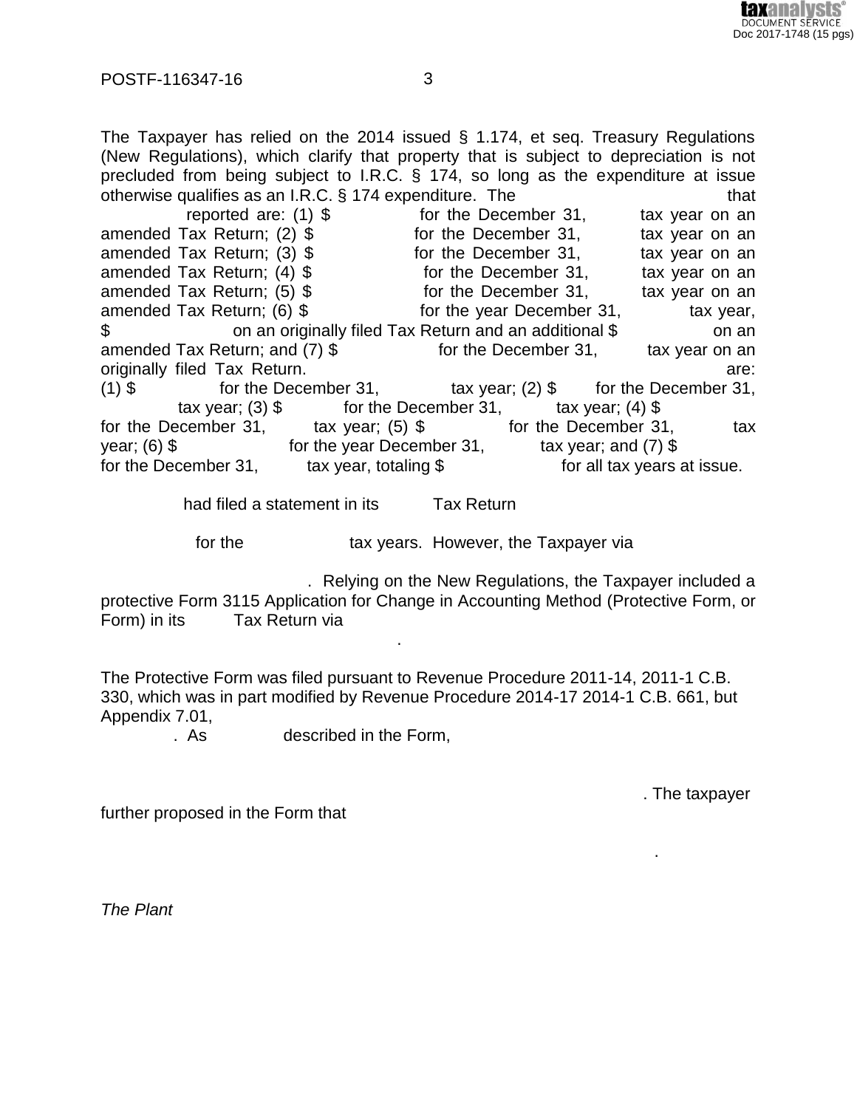

The Taxpayer has relied on the 2014 issued § 1.174, et seq. Treasury Regulations (New Regulations), which clarify that property that is subject to depreciation is not precluded from being subject to I.R.C. § 174, so long as the expenditure at issue otherwise qualifies as an I.R.C.  $\S$  174 expenditure. The  $\blacksquare$   $\blacksquare$   $\blacksquare$  that reported are:  $(1)$  \$  $-$  for the December 31,  $-$  tax year on an amended Tax Return; (2)  $\$\qquad$  for the December 31,  $\qquad$  tax year on an amended Tax Return; (3)  $\frac{1}{2}$  for the December 31, tax year on an amended Tax Return;  $(4)$  \$  $-$  for the December 31,  $-$  tax year on an amended Tax Return;  $(5)$  \$ for the December 31, tax year on an amended Tax Return; (6) \$ for the year December 31, tax year, \$----------------------on an originally filed Tax Return and an additional \$-----------------on an amended Tax Return; and  $(7)$  \$  $-$  for the December 31,  $-$  tax year on an originally filed Tax Return. The state of the state of the state of the state of the state: (1)  $\$  for the December 31, tax year; (2)  $\frac{1}{\sqrt{2}}$  for the December 31,  $\text{tax year}$ ; (3)  $\text{\$}$  for the December 31,  $\text{tax year}$ ; (4)  $\text{\$}$ for the December 31,  $\qquad \qquad$  tax year; (5) \$  $\qquad \qquad$  for the December 31,  $\qquad \qquad$  tax year;  $(6)$  \$  $-$  for the year December 31,  $-$  tax year; and (7)  $\frac{1}{3}$ for the December 31,  $\qquad \qquad$  tax year, totaling \$  $\qquad \qquad$  for all tax years at issue.

had filed a statement in its Tax Return

for the tax years. However, the Taxpayer via

. Relying on the New Regulations, the Taxpayer included a protective Form 3115 Application for Change in Accounting Method (Protective Form, or Form) in its ------ Tax Return via

The Protective Form was filed pursuant to Revenue Procedure 2011-14, 2011-1 C.B. 330, which was in part modified by Revenue Procedure 2014-17 2014-1 C.B. 661, but Appendix 7.01,

 $--\frac{1}{2}$  ,  $--\frac{1}{2}$  ,  $--\frac{1}{2}$  ,  $--\frac{1}{2}$  ,  $--\frac{1}{2}$  ,  $--\frac{1}{2}$  ,  $--\frac{1}{2}$  ,  $--\frac{1}{2}$  ,  $--\frac{1}{2}$  ,  $--\frac{1}{2}$  ,  $--\frac{1}{2}$  ,  $--\frac{1}{2}$  ,  $--\frac{1}{2}$  ,  $--\frac{1}{2}$  ,  $--\frac{1}{2}$  ,  $--\frac{1}{2}$  ,  $--\frac{1}{2}$  ,

. As described in the Form,

. The taxpayer

DOCUMENT SERVICE Doc 2017-1748 (15 pgs)

further proposed in the Form that

-----------------------------------------------------.

*The Plant*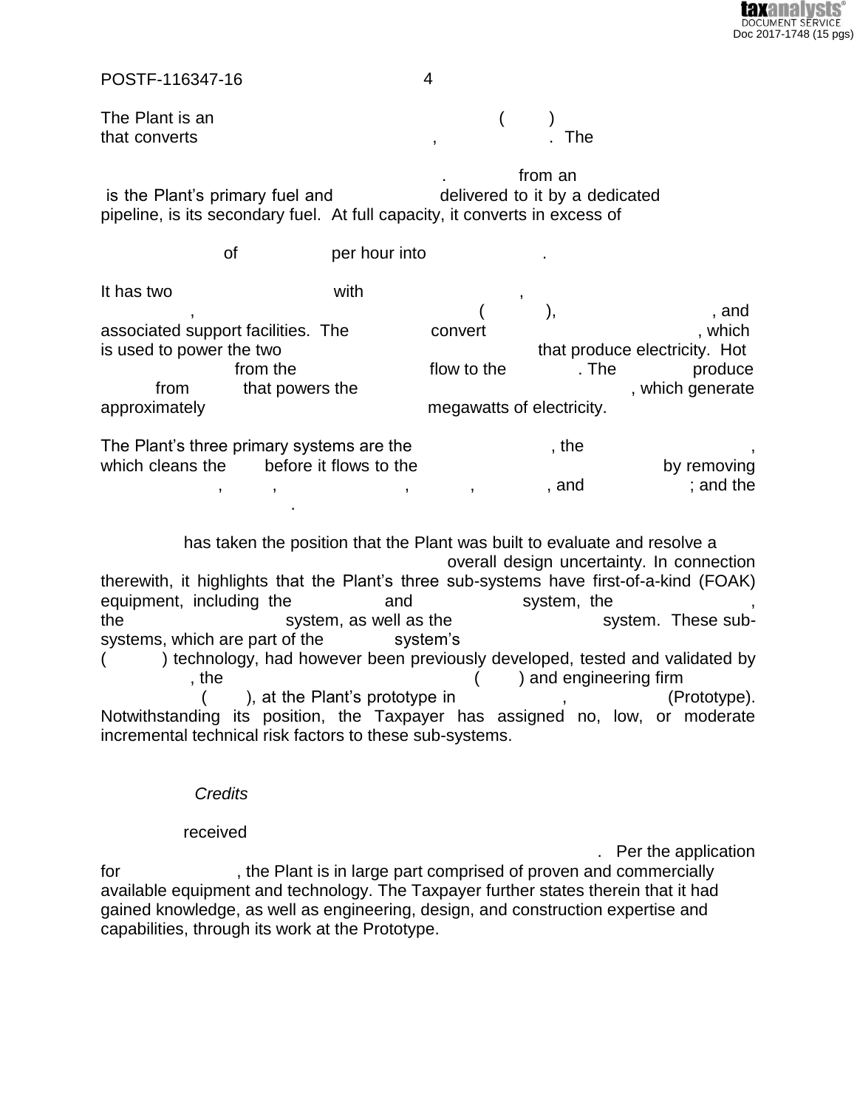

The Plant is an  $($ that converts and the set of the set of the set of the set of the set of the set of the  $\sim$ 

 $\blacksquare$   $\blacksquare$   $\blacksquare$   $\blacksquare$   $\blacksquare$  from an  $\blacksquare$ is the Plant's primary fuel and  $\qquad \qquad$  delivered to it by a dedicated pipeline, is its secondary fuel. At full capacity, it converts in excess of

of er hour into It has two reduced the with  $\qquad \qquad ,$ ----------------, --------------------------------------------------(-----------), ---------------------------, and associated support facilities. The ------------- convert -------------------------------------, which is used to power the two settled that produce electricity. Hot

------------------------from the -----------------------flow to the ------------. The ------------ produce from that powers the settle state of the state of the state of the state of the state of the state of the state of the state of the state of the state of the state of the state of the state of the state of the state of the approximately example approximately example approximately

The Plant's three primary systems are the  $\blacksquare$ , the which cleans the ----- before it flows to the -------------------------------------------by removing  $\, \, , \qquad \, \, , \qquad \, \, , \qquad \, \, , \qquad \, \, , \qquad \, \, , \qquad \, \, , \qquad \, \, , \qquad \, \, , \qquad \, \, , \qquad \, \, , \qquad \, , \qquad \, , \qquad \, , \qquad \, , \qquad \, , \qquad \, , \qquad \, , \qquad \, , \qquad \, , \qquad \, , \qquad \, , \qquad \, , \qquad \, , \qquad \, , \qquad \, , \qquad \, , \qquad \, , \qquad \, , \qquad \, , \qquad \, , \qquad \, , \qquad \, , \qquad$ ----------------------------------.

has taken the position that the Plant was built to evaluate and resolve a overall design uncertainty. In connection therewith, it highlights that the Plant's three sub-systems have first-of-a-kind (FOAK) equipment, including the ---------------and ------------------system, the -----------------------, the system, as well as the system. These subsystems, which are part of the system's () technology, had however been previously developed, tested and validated by the state of the state of the state of the state of the state of the state of the state of the state of the state of the state of the state of the state of the state of the state of the state of the state of the state of t ------------------(-------), at the Plant's prototype in ------------------, ---------------- (Prototype). Notwithstanding its position, the Taxpayer has assigned no, low, or moderate incremental technical risk factors to these sub-systems.

#### $C$ *redits*

#### received and a set of the set of the set of the set of the set of the set of the set of the set of the set of the set of the set of the set of the set of the set of the set of the set of the set of the set of the set of th

. Per the application for  $\cdot$ , the Plant is in large part comprised of proven and commercially available equipment and technology. The Taxpayer further states therein that it had gained knowledge, as well as engineering, design, and construction expertise and capabilities, through its work at the Prototype.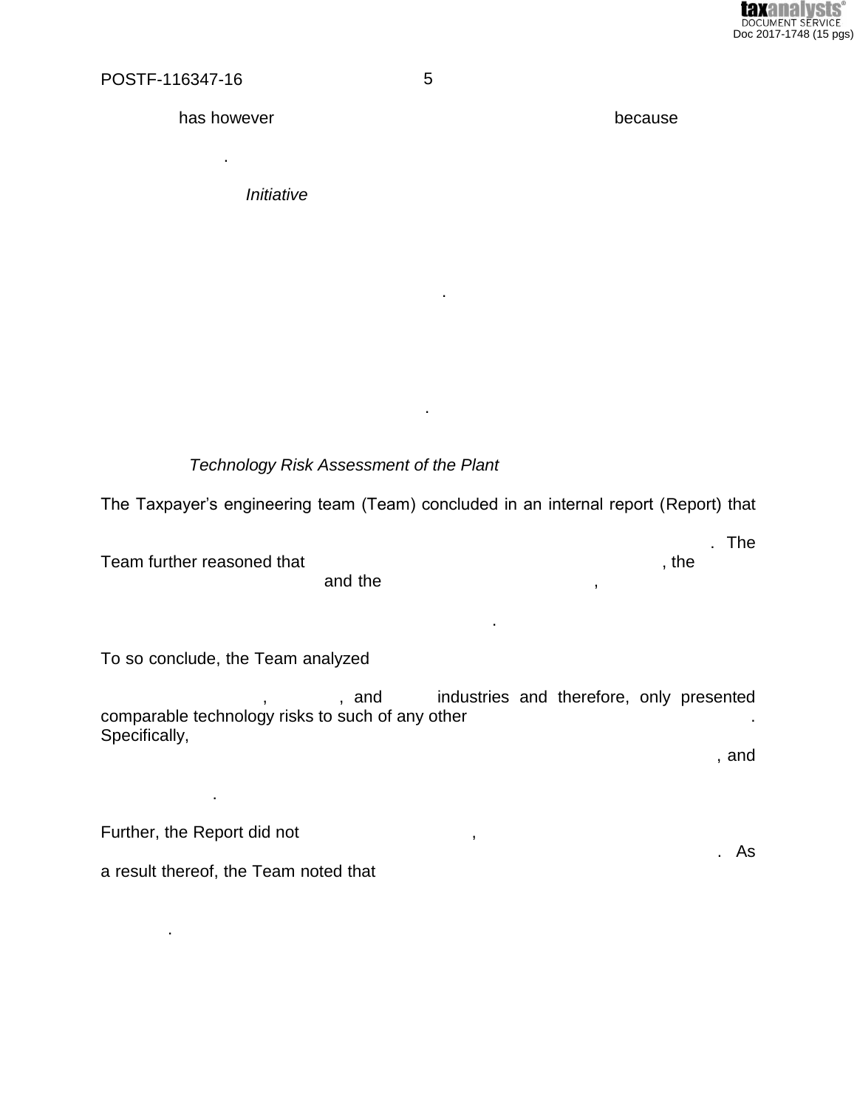

has however

Initiative

because

Technology Risk Assessment of the Plant

The Taxpayer's engineering team (Team) concluded in an internal report (Report) that

 $\mathbf{r}$ 

 $\blacksquare$ 

Team further reasoned that and the

To so conclude, the Team analyzed

industries and therefore, only presented , and comparable technology risks to such of any other Specifically,

i.

 $\bar{\mathbf{z}}$ 

, and

Further, the Report did not

 $\bullet$ 

 $\mathcal{L}^{\mathcal{L}}$ 

a result thereof, the Team noted that

5

. The

 $,$  the

 $\,$ 

. As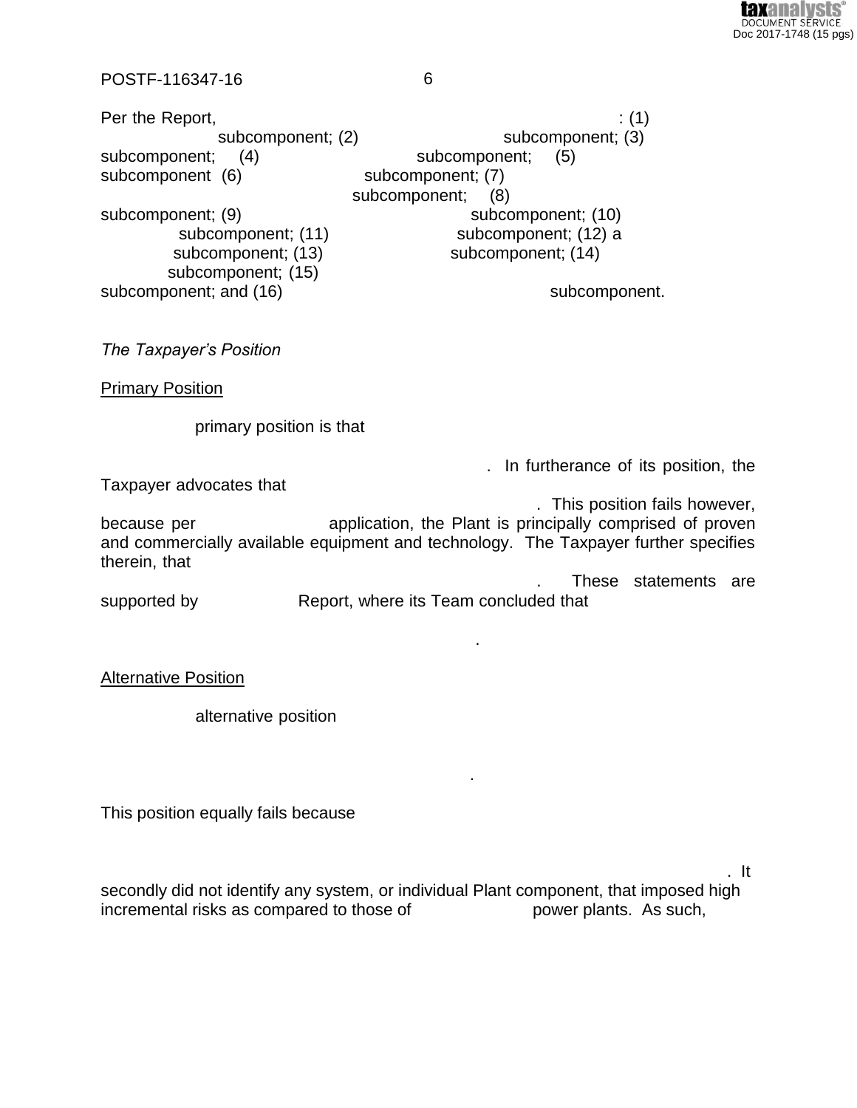

Per the Report,  $(1)$ subcomponent; (2) subcomponent; (3) subcomponent;  $(4)$ subcomponent;  $(5)$ subcomponent (6) subcomponent; (7) subcomponent; (8) subcomponent; (9) subcomponent; (10) subcomponent; (11) subcomponent; (12) a subcomponent; (13) subcomponent; (14) subcomponent; (15) subcomponent; and (16) subcomponent.

The Taxpayer's Position

**Primary Position** 

primary position is that

. In furtherance of its position, the

Taxpayer advocates that

. This position fails however, application, the Plant is principally comprised of proven because per and commercially available equipment and technology. The Taxpayer further specifies therein, that

These statements are Report, where its Team concluded that supported by

**Alternative Position** 

alternative position

This position equally fails because

. It

secondly did not identify any system, or individual Plant component, that imposed high incremental risks as compared to those of power plants. As such,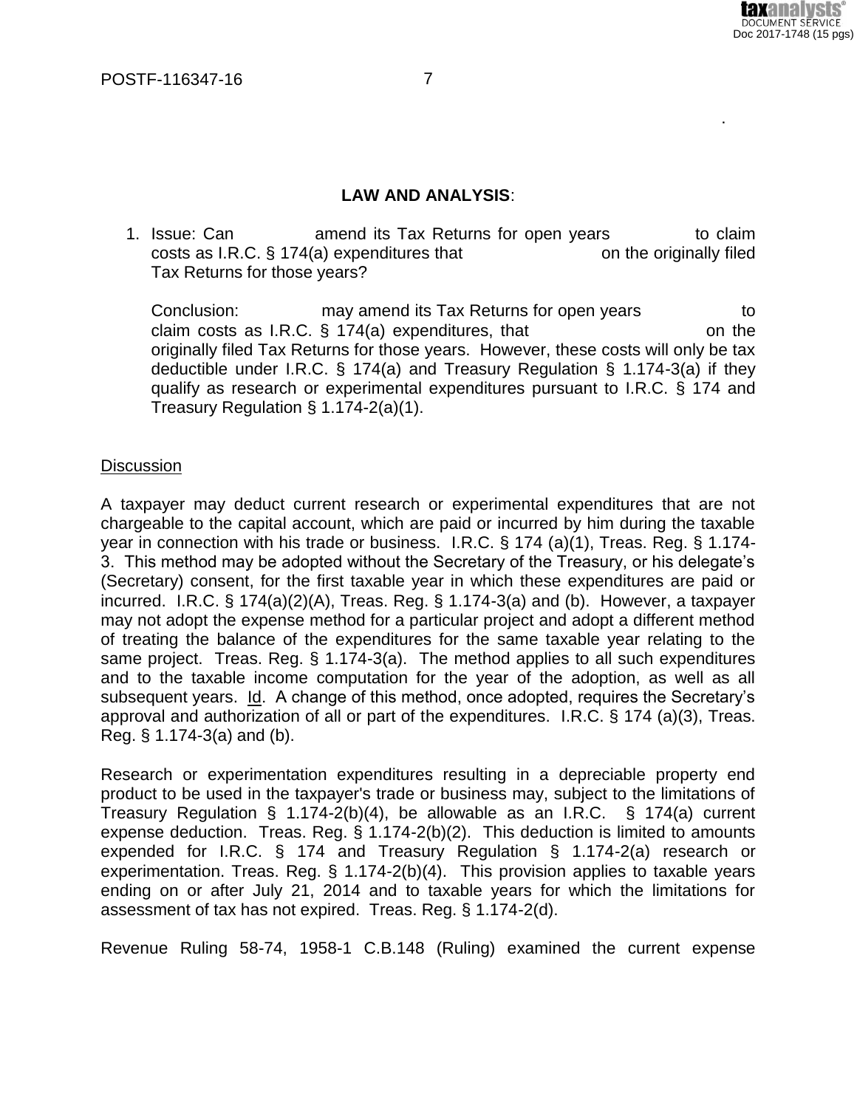

#### **LAW AND ANALYSIS**:

1. Issue: Can  $\blacksquare$  amend its Tax Returns for open years  $\blacksquare$  to claim costs as I.R.C.  $\S 174(a)$  expenditures that  $\qquad \qquad$  on the originally filed Tax Returns for those years?

Conclusion: The may amend its Tax Returns for open years only in the store claim costs as I.R.C.  $\S$  174(a) expenditures, that  $\blacksquare$  on the originally filed Tax Returns for those years. However, these costs will only be tax deductible under I.R.C. § 174(a) and Treasury Regulation § 1.174-3(a) if they qualify as research or experimental expenditures pursuant to I.R.C. § 174 and Treasury Regulation § 1.174-2(a)(1).

#### **Discussion**

A taxpayer may deduct current research or experimental expenditures that are not chargeable to the capital account, which are paid or incurred by him during the taxable year in connection with his trade or business. I.R.C. § 174 (a)(1), Treas. Reg. § 1.174- 3. This method may be adopted without the Secretary of the Treasury, or his delegate's (Secretary) consent, for the first taxable year in which these expenditures are paid or incurred. I.R.C. § 174(a)(2)(A), Treas. Reg. § 1.174-3(a) and (b). However, a taxpayer may not adopt the expense method for a particular project and adopt a different method of treating the balance of the expenditures for the same taxable year relating to the same project. Treas. Reg. § 1.174-3(a). The method applies to all such expenditures and to the taxable income computation for the year of the adoption, as well as all subsequent years. Id. A change of this method, once adopted, requires the Secretary's approval and authorization of all or part of the expenditures.I.R.C. § 174 (a)(3), Treas. Reg. § 1.174-3(a) and (b).

Research or experimentation expenditures resulting in a depreciable property end product to be used in the taxpayer's trade or business may, subject to the limitations of Treasury Regulation § 1.174-2(b)(4), be allowable as an I.R.C. § 174(a) current expense deduction. Treas. Reg. § 1.174-2(b)(2). This deduction is limited to amounts expended for I.R.C. § 174 and Treasury Regulation § 1.174-2(a) research or experimentation. Treas. Reg. § 1.174-2(b)(4). This provision applies to taxable years ending on or after July 21, 2014 and to taxable years for which the limitations for assessment of tax has not expired. Treas. Reg. § 1.174-2(d).

Revenue Ruling 58-74, 1958-1 C.B.148 (Ruling) examined the current expense

 $--\frac{1}{2}$  , which is a set of the set of the set of the set of the set of the set of the set of the set of the set of the set of the set of the set of the set of the set of the set of the set of the set of the set of the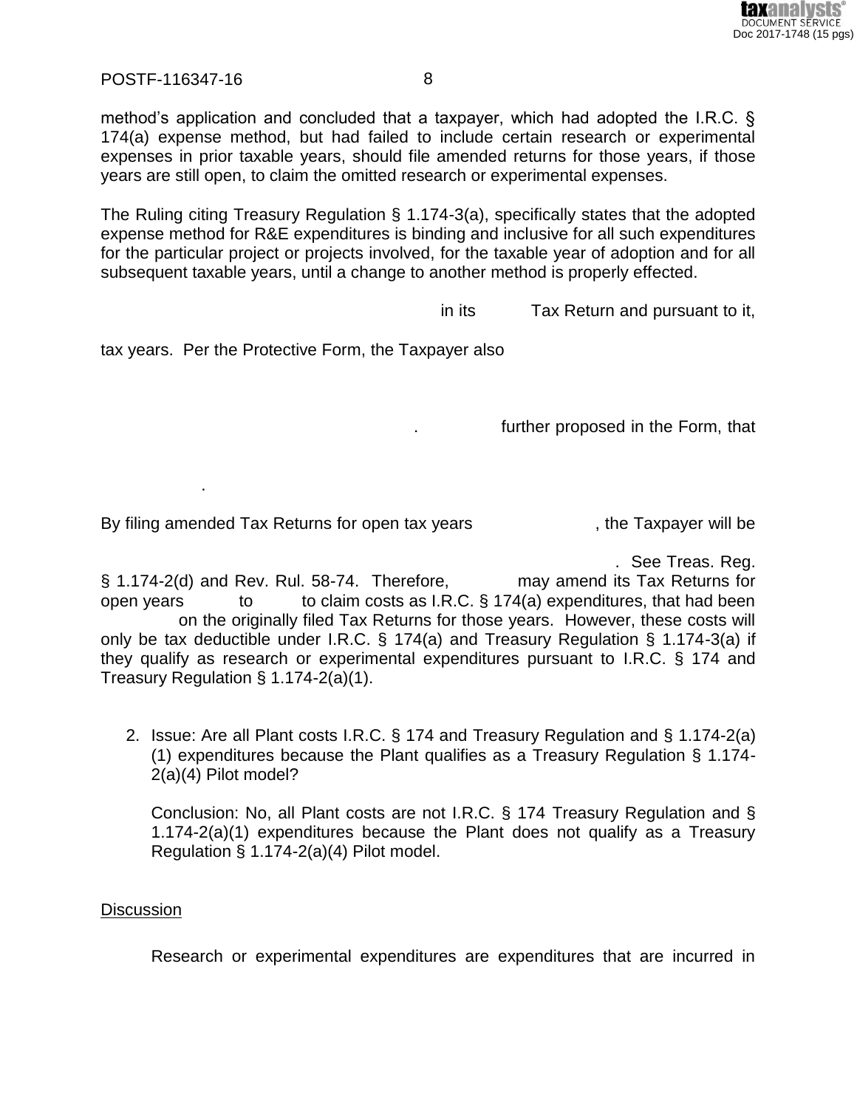

method's application and concluded that a taxpayer, which had adopted the I.R.C. § 174(a) expense method, but had failed to include certain research or experimental expenses in prior taxable years, should file amended returns for those years, if those years are still open, to claim the omitted research or experimental expenses.

The Ruling citing Treasury Regulation § 1.174-3(a), specifically states that the adopted expense method for R&E expenditures is binding and inclusive for all such expenditures for the particular project or projects involved, for the taxable year of adoption and for all subsequent taxable years, until a change to another method is properly effected.

in its Tax Return and pursuant to it,

tax years. Per the Protective Form, the Taxpayer also

further proposed in the Form, that

By filing amended Tax Returns for open tax years ... The Taxpayer will be

. See Treas. Reg.

§ 1.174-2(d) and Rev. Rul. 58-74. Therefore, may amend its Tax Returns for open years to to claim costs as I.R.C.  $\S$  174(a) expenditures, that had been on the originally filed Tax Returns for those years. However, these costs will only be tax deductible under I.R.C. § 174(a) and Treasury Regulation § 1.174-3(a) if they qualify as research or experimental expenditures pursuant to I.R.C. § 174 and Treasury Regulation § 1.174-2(a)(1).

2. Issue: Are all Plant costs I.R.C. § 174 and Treasury Regulation and § 1.174-2(a) (1) expenditures because the Plant qualifies as a Treasury Regulation § 1.174- 2(a)(4) Pilot model?

Conclusion: No, all Plant costs are not I.R.C. § 174 Treasury Regulation and § 1.174-2(a)(1) expenditures because the Plant does not qualify as a Treasury Regulation § 1.174-2(a)(4) Pilot model.

## **Discussion**

------------------.

Research or experimental expenditures are expenditures that are incurred in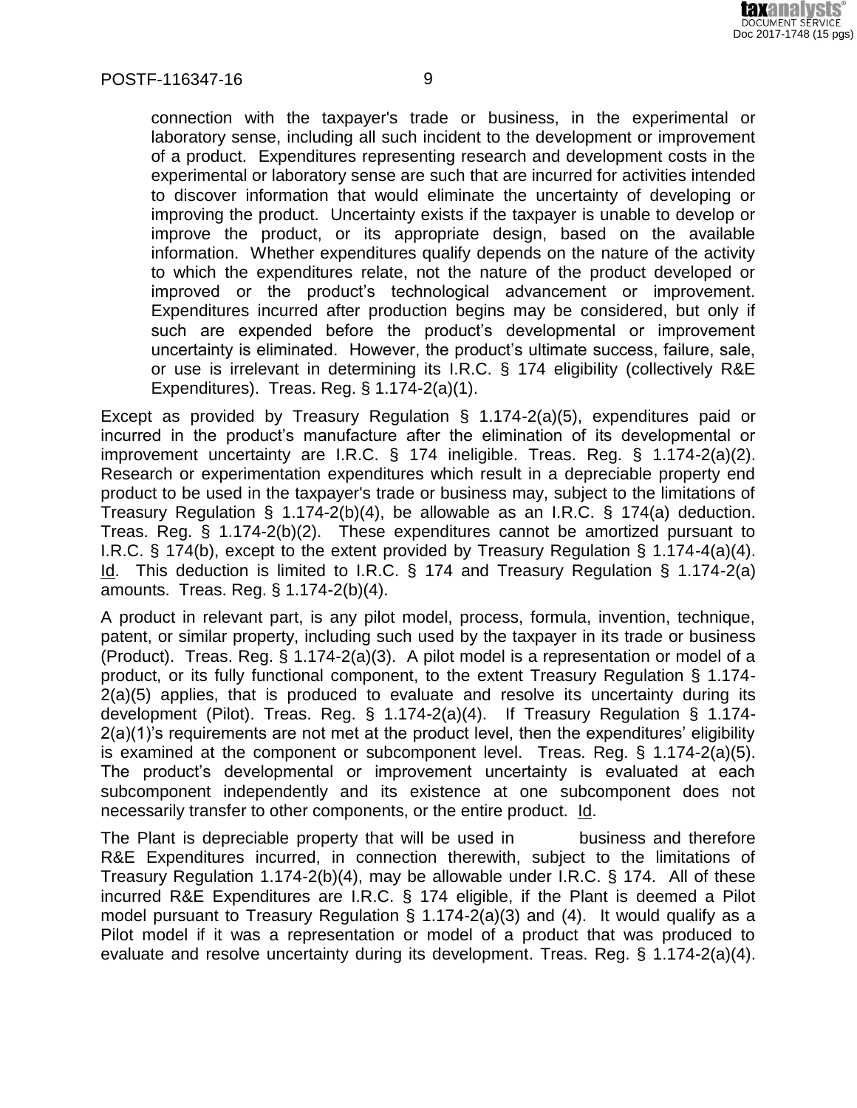

connection with the taxpayer's trade or business, in the experimental or laboratory sense, including all such incident to the development or improvement of a product. Expenditures representing research and development costs in the experimental or laboratory sense are such that are incurred for activities intended to discover information that would eliminate the uncertainty of developing or improving the product. Uncertainty exists if the taxpayer is unable to develop or improve the product, or its appropriate design, based on the available information. Whether expenditures qualify depends on the nature of the activity to which the expenditures relate, not the nature of the product developed or improved or the product's technological advancement or improvement. Expenditures incurred after production begins may be considered, but only if such are expended before the product's developmental or improvement uncertainty is eliminated. However, the product's ultimate success, failure, sale, or use is irrelevant in determining its I.R.C. § 174 eligibility (collectively R&E Expenditures). Treas. Reg. § 1.174-2(a)(1).

Except as provided by Treasury Regulation § 1.174-2(a)(5), expenditures paid or incurred in the product's manufacture after the elimination of its developmental or improvement uncertainty are I.R.C. § 174 ineligible. Treas. Reg. § 1.174-2(a)(2). Research or experimentation expenditures which result in a depreciable property end product to be used in the taxpayer's trade or business may, subject to the limitations of Treasury Regulation § 1.174-2(b)(4), be allowable as an I.R.C. § 174(a) deduction. Treas. Reg. § 1.174-2(b)(2). These expenditures cannot be amortized pursuant to I.R.C. § 174(b), except to the extent provided by Treasury Regulation § 1.174-4(a)(4). Id. This deduction is limited to I.R.C. § 174 and Treasury Regulation § 1.174-2(a) amounts. Treas. Reg. § 1.174-2(b)(4).

A product in relevant part, is any pilot model, process, formula, invention, technique, patent, or similar property, including such used by the taxpayer in its trade or business (Product). Treas. Reg. § 1.174-2(a)(3). A pilot model is a representation or model of a product, or its fully functional component, to the extent Treasury Regulation § 1.174- 2(a)(5) applies, that is produced to evaluate and resolve its uncertainty during its development (Pilot). Treas. Reg. § 1.174-2(a)(4). If Treasury Regulation § 1.174- 2(a)(1)'s requirements are not met at the product level, then the expenditures' eligibility is examined at the component or subcomponent level. Treas. Reg. § 1.174-2(a)(5). The product's developmental or improvement uncertainty is evaluated at each subcomponent independently and its existence at one subcomponent does not necessarily transfer to other components, or the entire product. Id.

The Plant is depreciable property that will be used in business and therefore R&E Expenditures incurred, in connection therewith, subject to the limitations of Treasury Regulation 1.174-2(b)(4), may be allowable under I.R.C. § 174. All of these incurred R&E Expenditures are I.R.C. § 174 eligible, if the Plant is deemed a Pilot model pursuant to Treasury Regulation § 1.174-2(a)(3) and (4). It would qualify as a Pilot model if it was a representation or model of a product that was produced to evaluate and resolve uncertainty during its development. Treas. Reg. § 1.174-2(a)(4).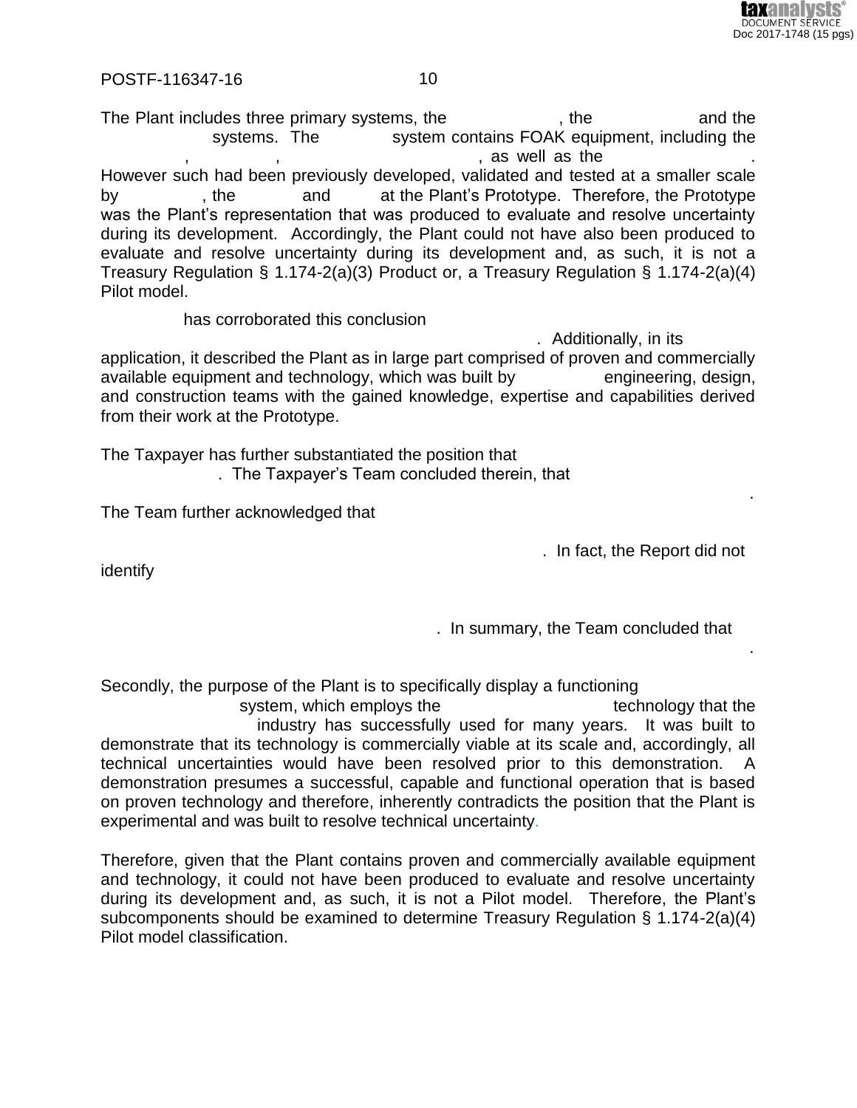

The Plant includes three primary systems, the  $\qquad \qquad$ , the  $\qquad \qquad$  and the systems. The system contains FOAK equipment, including the . as well as the However such had been previously developed, validated and tested at a smaller scale by external the by the stand the Plant's Prototype. Therefore, the Prototype. was the Plant's representation that was produced to evaluate and resolve uncertainty during its development. Accordingly, the Plant could not have also been produced to evaluate and resolve uncertainty during its development and, as such, it is not a Treasury Regulation § 1.174-2(a)(3) Product or, a Treasury Regulation § 1.174-2(a)(4) Pilot model.

has corroborated this conclusion

. Additionally, in its application, it described the Plant as in large part comprised of proven and commercially available equipment and technology, which was built by engineering, design, and construction teams with the gained knowledge, expertise and capabilities derived from their work at the Prototype.

 $--\frac{1}{2}$  , which is the contribution of the contribution of the contribution of the contribution of the contribution of the contribution of the contribution of the contribution of the contribution of the contribution of

The Taxpayer has further substantiated the position that . The Taxpayer's Team concluded therein, that

The Team further acknowledged that

. In fact, the Report did not

 ${\sf identity}$  . The contribution of the contribution of the contribution of the contribution of the contribution of the contribution of the contribution of the contribution of the contribution of the contribution of the contribu

. In summary, the Team concluded that

Secondly, the purpose of the Plant is to specifically display a functioning system, which employs the  $\blacksquare$  technology that the industry has successfully used for many years. It was built to demonstrate that its technology is commercially viable at its scale and, accordingly, all technical uncertainties would have been resolved prior to this demonstration. A demonstration presumes a successful, capable and functional operation that is based on proven technology and therefore, inherently contradicts the position that the Plant is experimental and was built to resolve technical uncertainty.

 $--\frac{1}{2}$  , which is the contribution of the contribution of the contribution of the contribution of the contribution of the contribution of the contribution of the contribution of the contribution of the contribution of

Therefore, given that the Plant contains proven and commercially available equipment and technology, it could not have been produced to evaluate and resolve uncertainty during its development and, as such, it is not a Pilot model. Therefore, the Plant's subcomponents should be examined to determine Treasury Regulation § 1.174-2(a)(4) Pilot model classification.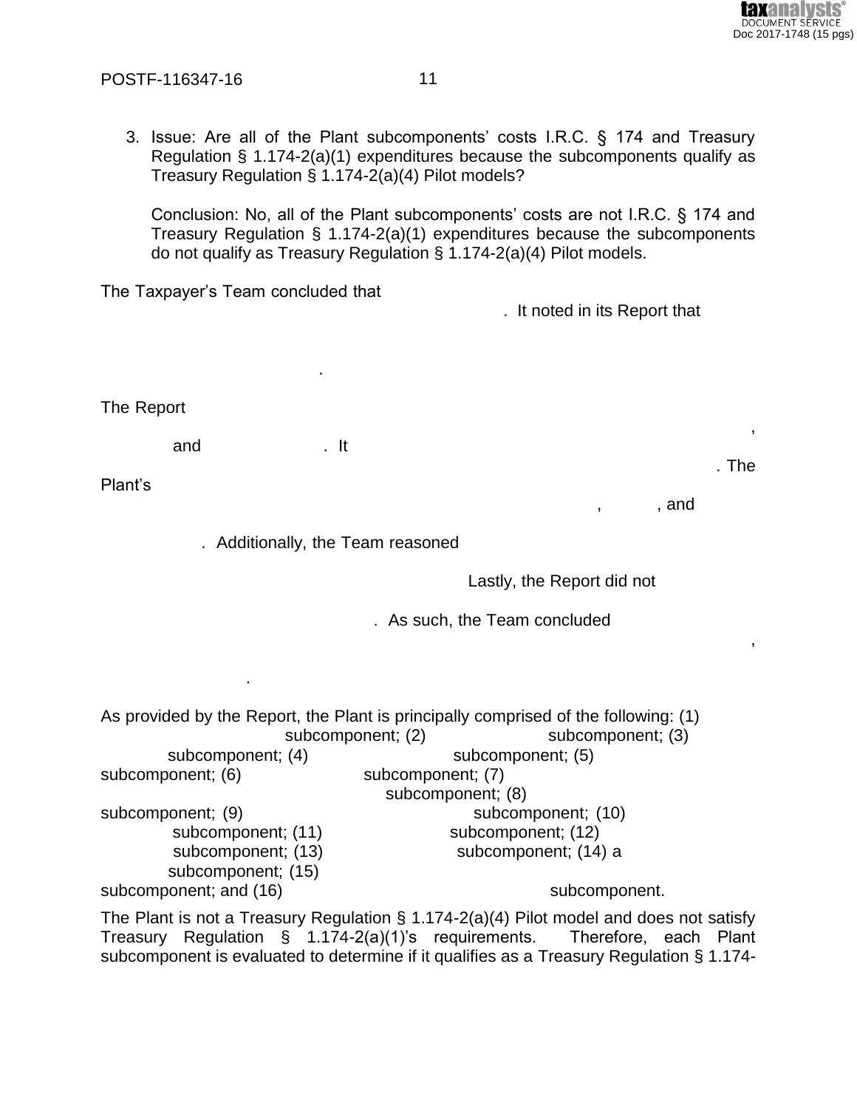

 $.$  The

 $\overline{\phantom{a}}$ 

, and

3. Issue: Are all of the Plant subcomponents' costs I.R.C. § 174 and Treasury Regulation  $\S$  1.174-2(a)(1) expenditures because the subcomponents qualify as Treasury Regulation § 1.174-2(a)(4) Pilot models?

Conclusion: No, all of the Plant subcomponents' costs are not I.R.C. § 174 and Treasury Regulation  $\S$  1.174-2(a)(1) expenditures because the subcomponents do not qualify as Treasury Regulation  $\S$  1.174-2(a)(4) Pilot models.

The Taxpayer's Team concluded that . It noted in its Report that The Report and  $. It$ Plant's . Additionally, the Team reasoned Lastly, the Report did not . As such, the Team concluded

As provided by the Report, the Plant is principally comprised of the following: (1) subcomponent; (2) subcomponent; (3) subcomponent; (4) subcomponent; (5) subcomponent; (7) subcomponent; (6) subcomponent; (8) subcomponent; (10) subcomponent; (9) subcomponent; (12) subcomponent; (11) subcomponent; (14) a subcomponent; (13) subcomponent; (15) subcomponent; and (16) subcomponent. The Plant is not a Treasury Regulation  $\S$  1.174-2(a)(4) Pilot model and does not satisfy

Treasury Regulation § 1.174-2(a)(1)'s requirements. Therefore, each Plant subcomponent is evaluated to determine if it qualifies as a Treasury Regulation § 1.174-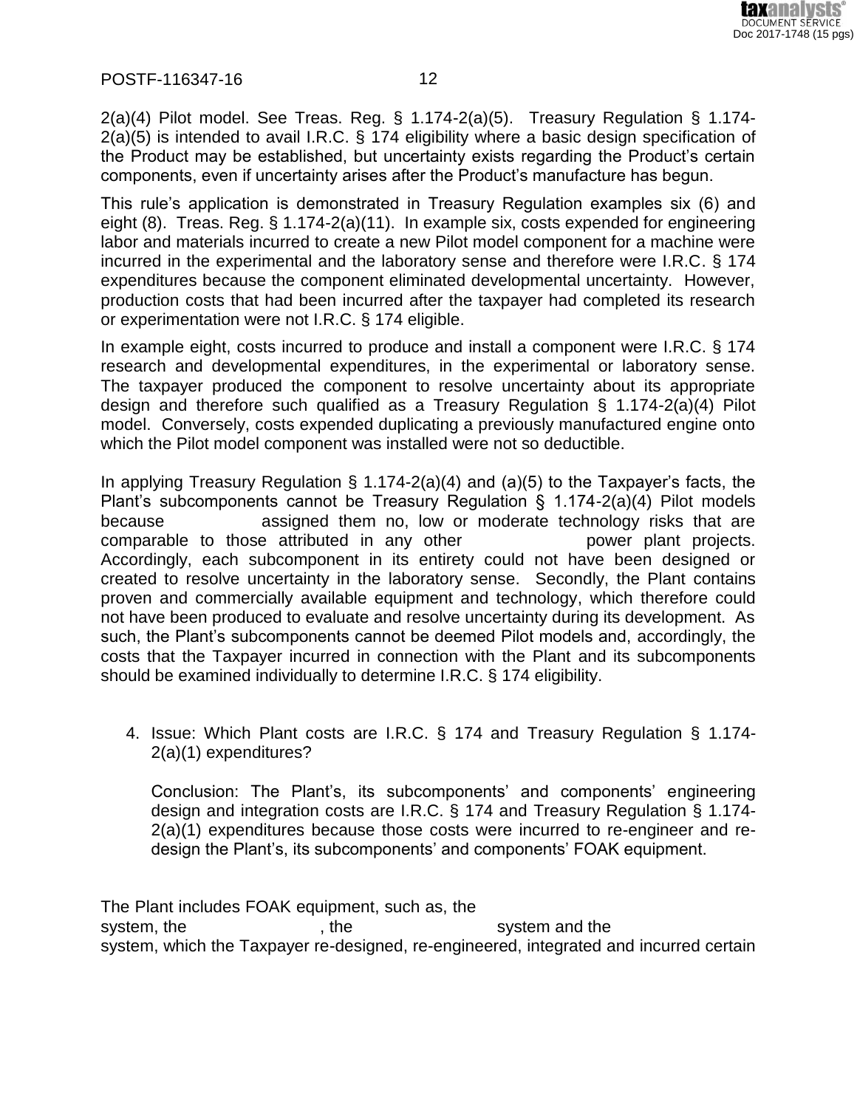

2(a)(4) Pilot model. See Treas. Reg. § 1.174-2(a)(5). Treasury Regulation § 1.174- 2(a)(5) is intended to avail I.R.C. § 174 eligibility where a basic design specification of the Product may be established, but uncertainty exists regarding the Product's certain components, even if uncertainty arises after the Product's manufacture has begun.

This rule's application is demonstrated in Treasury Regulation examples six (6) and eight (8). Treas. Reg. § 1.174-2(a)(11). In example six, costs expended for engineering labor and materials incurred to create a new Pilot model component for a machine were incurred in the experimental and the laboratory sense and therefore were I.R.C. § 174 expenditures because the component eliminated developmental uncertainty. However, production costs that had been incurred after the taxpayer had completed its research or experimentation were not I.R.C. § 174 eligible.

In example eight, costs incurred to produce and install a component were I.R.C. § 174 research and developmental expenditures, in the experimental or laboratory sense. The taxpayer produced the component to resolve uncertainty about its appropriate design and therefore such qualified as a Treasury Regulation § 1.174-2(a)(4) Pilot model. Conversely, costs expended duplicating a previously manufactured engine onto which the Pilot model component was installed were not so deductible.

In applying Treasury Regulation  $\S$  1.174-2(a)(4) and (a)(5) to the Taxpayer's facts, the Plant's subcomponents cannot be Treasury Regulation § 1.174-2(a)(4) Pilot models because -------------- assigned them no, low or moderate technology risks that are comparable to those attributed in any other ------------------ power plant projects. Accordingly, each subcomponent in its entirety could not have been designed or created to resolve uncertainty in the laboratory sense. Secondly, the Plant contains proven and commercially available equipment and technology, which therefore could not have been produced to evaluate and resolve uncertainty during its development. As such, the Plant's subcomponents cannot be deemed Pilot models and, accordingly, the costs that the Taxpayer incurred in connection with the Plant and its subcomponents should be examined individually to determine I.R.C. § 174 eligibility.

4. Issue: Which Plant costs are I.R.C. § 174 and Treasury Regulation § 1.174- 2(a)(1) expenditures?

Conclusion: The Plant's, its subcomponents' and components' engineering design and integration costs are I.R.C. § 174 and Treasury Regulation § 1.174- 2(a)(1) expenditures because those costs were incurred to re-engineer and redesign the Plant's, its subcomponents' and components' FOAK equipment.

The Plant includes FOAK equipment, such as, the system, the -----------------------, the -------------------------system and the ------------------------ system, which the Taxpayer re-designed, re-engineered, integrated and incurred certain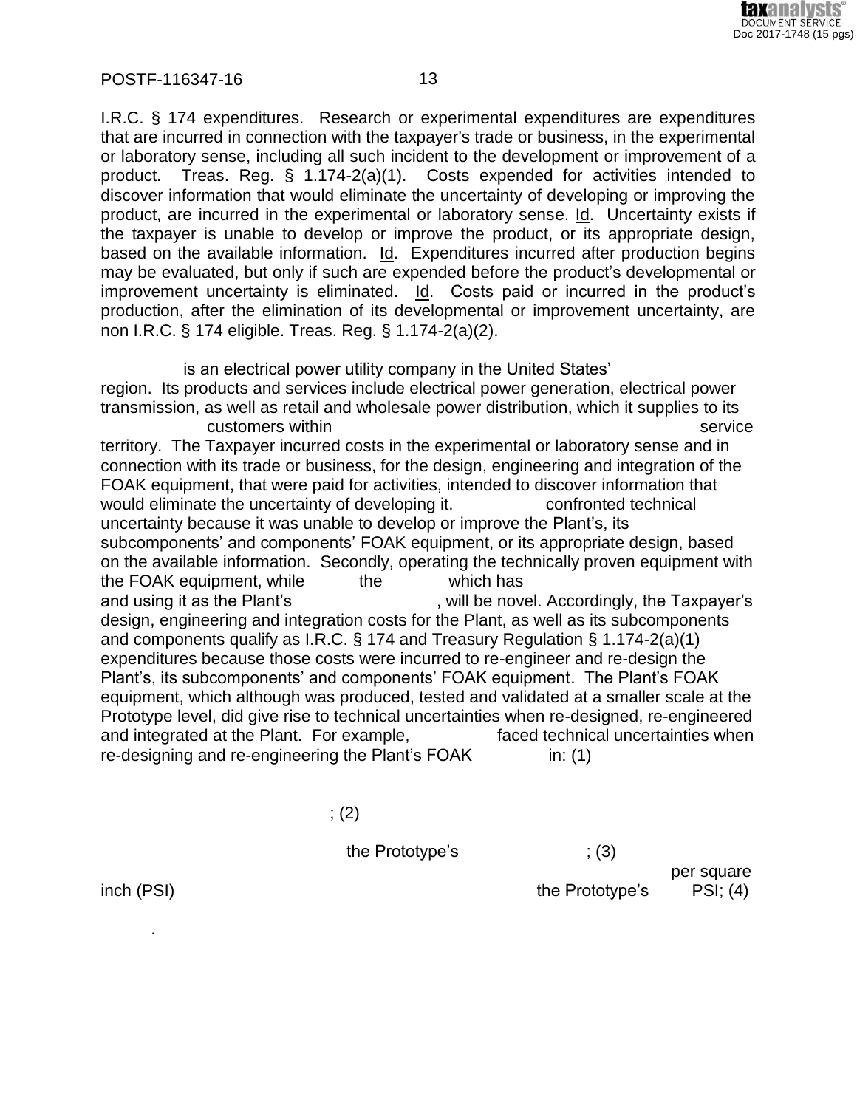

I.R.C. § 174 expenditures. Research or experimental expenditures are expenditures that are incurred in connection with the taxpayer's trade or business, in the experimental or laboratory sense, including all such incident to the development or improvement of a product. Treas. Reg. § 1.174-2(a)(1). Costs expended for activities intended to discover information that would eliminate the uncertainty of developing or improving the product, are incurred in the experimental or laboratory sense. Id. Uncertainty exists if the taxpayer is unable to develop or improve the product, or its appropriate design, based on the available information. Id. Expenditures incurred after production begins may be evaluated, but only if such are expended before the product's developmental or improvement uncertainty is eliminated. Id. Costs paid or incurred in the product's production, after the elimination of its developmental or improvement uncertainty, are non I.R.C. § 174 eligible. Treas. Reg. § 1.174-2(a)(2).

is an electrical power utility company in the United States'

region. Its products and services include electrical power generation, electrical power transmission, as well as retail and wholesale power distribution, which it supplies to its customers within  $\overline{\phantom{a}}$  and  $\overline{\phantom{a}}$  and  $\overline{\phantom{a}}$  and  $\overline{\phantom{a}}$  service

territory. The Taxpayer incurred costs in the experimental or laboratory sense and in connection with its trade or business, for the design, engineering and integration of the FOAK equipment, that were paid for activities, intended to discover information that would eliminate the uncertainty of developing it. The confronted technical uncertainty because it was unable to develop or improve the Plant's, its subcomponents' and components' FOAK equipment, or its appropriate design, based on the available information. Secondly, operating the technically proven equipment with the FOAK equipment, while  $\qquad \qquad$  the  $\qquad \qquad$  which has and using it as the Plant's -------------------------, will be novel. Accordingly, the Taxpayer's design, engineering and integration costs for the Plant, as well as its subcomponents and components qualify as I.R.C. § 174 and Treasury Regulation § 1.174-2(a)(1) expenditures because those costs were incurred to re-engineer and re-design the Plant's, its subcomponents' and components' FOAK equipment. The Plant's FOAK equipment, which although was produced, tested and validated at a smaller scale at the Prototype level, did give rise to technical uncertainties when re-designed, re-engineered and integrated at the Plant. For example,  $\qquad \qquad$  faced technical uncertainties when  $re$ -designing and re-engineering the Plant's  $FOAK$  in: (1)

 $\,;\,(2)$ 

 $the \; Prototype's \; | \; (3)$ 

per square inch (PSI) ----------------------------------------------------------------the Prototype's ------ PSI; (4)

 $-$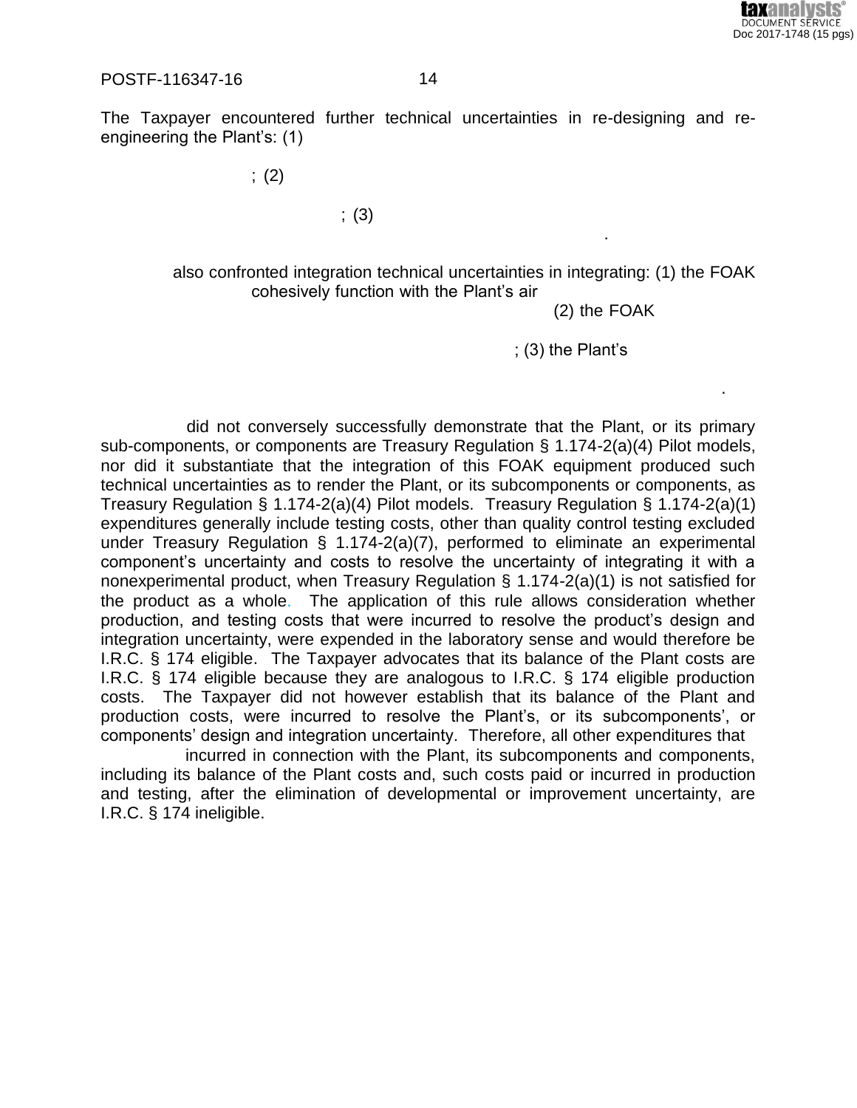

The Taxpayer encountered further technical uncertainties in re-designing and reengineering the Plant's: (1)

 $\,;\,\left( 2\right)$ 

 $\,;\,\left( 3\right)$ ------------------------------------------------------------------------------------------.

> also confronted integration technical uncertainties in integrating: (1) the FOAK cohesively function with the Plant's air

> > $(2)$  the FOAK

 $: (3)$  the Plant's

did not conversely successfully demonstrate that the Plant, or its primary sub-components, or components are Treasury Regulation § 1.174-2(a)(4) Pilot models, nor did it substantiate that the integration of this FOAK equipment produced such technical uncertainties as to render the Plant, or its subcomponents or components, as Treasury Regulation § 1.174-2(a)(4) Pilot models. Treasury Regulation § 1.174-2(a)(1) expenditures generally include testing costs, other than quality control testing excluded under Treasury Regulation § 1.174-2(a)(7), performed to eliminate an experimental component's uncertainty and costs to resolve the uncertainty of integrating it with a nonexperimental product, when Treasury Regulation § 1.174-2(a)(1) is not satisfied for the product as a whole. The application of this rule allows consideration whether production, and testing costs that were incurred to resolve the product's design and integration uncertainty, were expended in the laboratory sense and would therefore be I.R.C. § 174 eligible. The Taxpayer advocates that its balance of the Plant costs are I.R.C. § 174 eligible because they are analogous to I.R.C. § 174 eligible production costs. The Taxpayer did not however establish that its balance of the Plant and production costs, were incurred to resolve the Plant's, or its subcomponents', or components' design and integration uncertainty. Therefore, all other expenditures that -

 $--\frac{1}{2}$  , which is a set of the set of the set of the set of the set of the set of the set of the set of the set of the set of the set of the set of the set of the set of the set of the set of the set of the set of the

incurred in connection with the Plant, its subcomponents and components, including its balance of the Plant costs and, such costs paid or incurred in production and testing, after the elimination of developmental or improvement uncertainty, are I.R.C. § 174 ineligible.